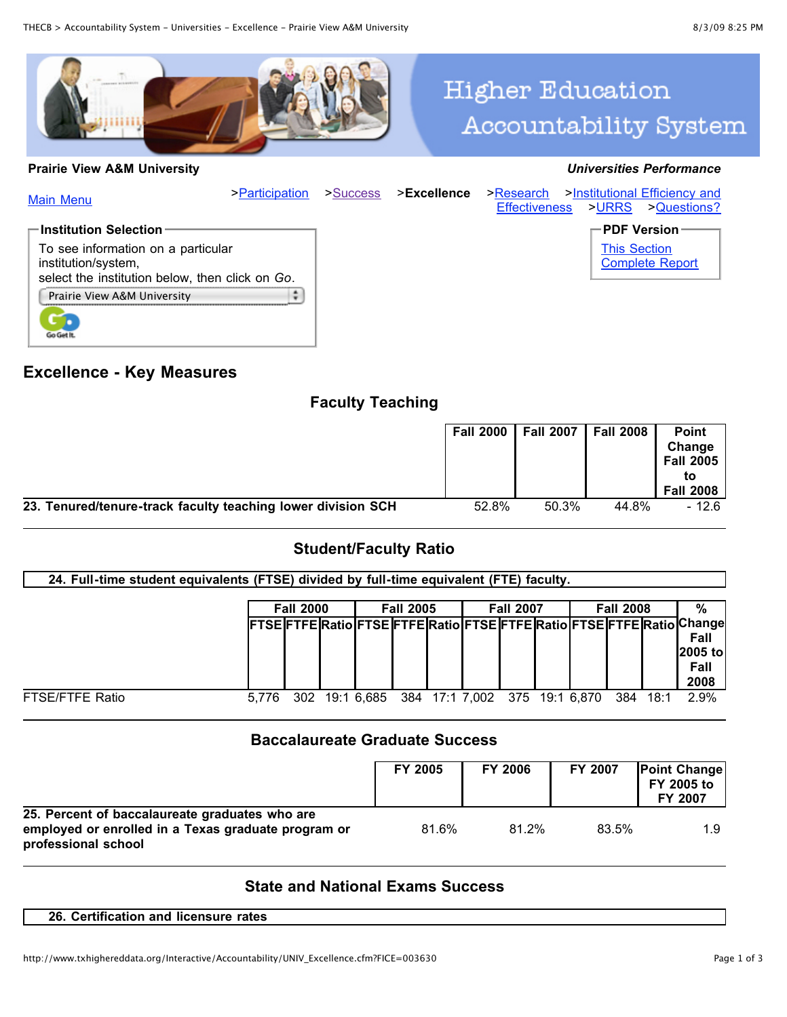

# **Higher Education** Accountability System

#### **Prairie View A&M University** *Universities Performance*

| <b>Main Menu</b>                                                                                             | >Participation | >Success | >Excellence | >Research<br><b>Effectiveness</b> | >Institutional Efficiency and<br>>URRS<br>>Questions? |
|--------------------------------------------------------------------------------------------------------------|----------------|----------|-------------|-----------------------------------|-------------------------------------------------------|
| $\blacksquare$ Institution Selection                                                                         |                |          |             |                                   | $\mathsf{\Gamma}$ PDF Version $^,$                    |
| To see information on a particular<br>institution/system,<br>select the institution below, then click on Go. |                |          |             |                                   | <b>This Section</b><br><b>Complete Report</b>         |
| Prairie View A&M University                                                                                  |                |          |             |                                   |                                                       |

## **Excellence - Key Measures**

Go Get It.

# **Faculty Teaching**

|                                                              |       | Fall 2000   Fall 2007   Fall 2008 |       | <b>Point</b><br>Change<br>Fall 2005<br><b>Fall 2008</b> |
|--------------------------------------------------------------|-------|-----------------------------------|-------|---------------------------------------------------------|
| 23. Tenured/tenure-track faculty teaching lower division SCH | 52.8% | 50.3%                             | 44.8% | $-12.6$                                                 |

## **Student/Faculty Ratio**

| 24. Full-time student equivalents (FTSE) divided by full-time equivalent (FTE) faculty. |       |                  |  |            |                  |  |                               |  |                  |  |     |      |                                                                                                            |
|-----------------------------------------------------------------------------------------|-------|------------------|--|------------|------------------|--|-------------------------------|--|------------------|--|-----|------|------------------------------------------------------------------------------------------------------------|
|                                                                                         |       | <b>Fall 2000</b> |  |            | <b>Fall 2005</b> |  | <b>Fall 2007</b>              |  | <b>Fall 2008</b> |  | %   |      |                                                                                                            |
|                                                                                         |       |                  |  |            |                  |  |                               |  |                  |  |     |      | FTSE FTFE Ratio FTSE FTFE Ratio FTSE FTFE Ratio FTSE FTFE Ratio Change <br>Fall<br>2005 to<br>Fall<br>2008 |
| <b>FTSE/FTFE Ratio</b>                                                                  | 5.776 | 302              |  | 19:1 6.685 |                  |  | 384 17:1 7,002 375 19:1 6,870 |  |                  |  | 384 | 18:1 | 2.9%                                                                                                       |

## **Baccalaureate Graduate Success**

|                                                                                                                              | <b>FY 2005</b> | <b>FY 2006</b> | FY 2007 | <b>Point Change</b><br>FY 2005 to<br><b>FY 2007</b> |
|------------------------------------------------------------------------------------------------------------------------------|----------------|----------------|---------|-----------------------------------------------------|
| 25. Percent of baccalaureate graduates who are<br>employed or enrolled in a Texas graduate program or<br>professional school | 81.6%          | 81.2%          | 83.5%   | 1.9                                                 |

# **State and National Exams Success**

#### **26. Certification and licensure rates**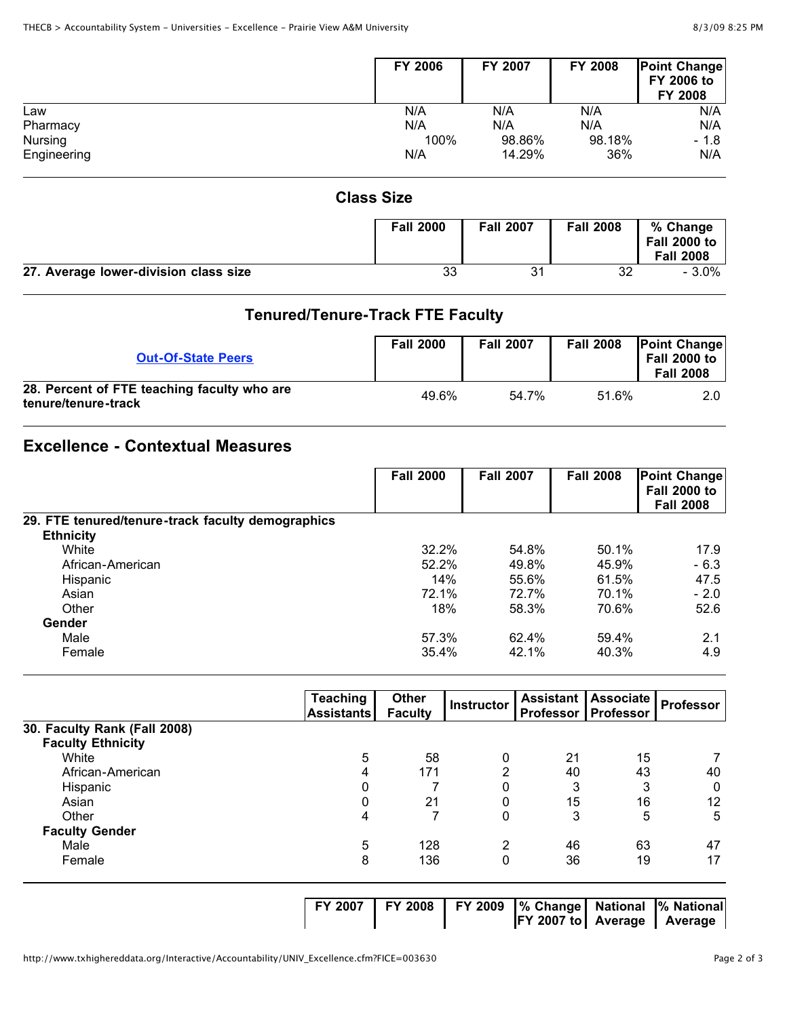|             | <b>FY 2006</b> | FY 2007 | <b>FY 2008</b> | <b>Point Change</b><br>FY 2006 to<br>FY 2008 |
|-------------|----------------|---------|----------------|----------------------------------------------|
| Law         | N/A            | N/A     | N/A            | N/A                                          |
| Pharmacy    | N/A            | N/A     | N/A            | N/A                                          |
| Nursing     | 100%           | 98.86%  | 98.18%         | $-1.8$                                       |
| Engineering | N/A            | 14.29%  | 36%            | N/A                                          |

#### **Class Size**

|                                       | <b>Fall 2000</b> | <b>Fall 2007</b> | <b>Fall 2008</b> | % Change<br><b>Fall 2000 to</b><br><b>Fall 2008</b> |
|---------------------------------------|------------------|------------------|------------------|-----------------------------------------------------|
| 27. Average lower-division class size | 33               | 31               | 32               | $-3.0\%$                                            |

# **Tenured/Tenure-Track FTE Faculty**

| <b>Out-Of-State Peers</b>                                          | <b>Fall 2000</b> | <b>Fall 2007</b> | <b>Fall 2008</b> | <b>Point Change</b><br><b>Fall 2000 to</b><br><b>Fall 2008</b> |
|--------------------------------------------------------------------|------------------|------------------|------------------|----------------------------------------------------------------|
| 28. Percent of FTE teaching faculty who are<br>tenure/tenure-track | 49.6%            | 54.7%            | 51.6%            | 2.0                                                            |

# **Excellence - Contextual Measures**

|                                                   | <b>Fall 2000</b> | <b>Fall 2007</b> | <b>Fall 2008</b> | <b>Point Change</b><br><b>Fall 2000 to</b><br><b>Fall 2008</b> |
|---------------------------------------------------|------------------|------------------|------------------|----------------------------------------------------------------|
| 29. FTE tenured/tenure-track faculty demographics |                  |                  |                  |                                                                |
| <b>Ethnicity</b>                                  |                  |                  |                  |                                                                |
| White                                             | 32.2%            | 54.8%            | 50.1%            | 17.9                                                           |
| African-American                                  | 52.2%            | 49.8%            | 45.9%            | $-6.3$                                                         |
| Hispanic                                          | 14%              | 55.6%            | 61.5%            | 47.5                                                           |
| Asian                                             | 72.1%            | 72.7%            | 70.1%            | $-2.0$                                                         |
| Other                                             | 18%              | 58.3%            | 70.6%            | 52.6                                                           |
| Gender                                            |                  |                  |                  |                                                                |
| Male                                              | 57.3%            | 62.4%            | 59.4%            | 2.1                                                            |
| Female                                            | 35.4%            | 42.1%            | 40.3%            | 4.9                                                            |

|                              | Teaching<br><b>Assistants</b> | Other<br><b>Faculty</b> | Instructor | <b>Assistant</b><br>Professor | Associate<br><b>Professor</b> | <b>Professor</b> |
|------------------------------|-------------------------------|-------------------------|------------|-------------------------------|-------------------------------|------------------|
| 30. Faculty Rank (Fall 2008) |                               |                         |            |                               |                               |                  |
| <b>Faculty Ethnicity</b>     |                               |                         |            |                               |                               |                  |
| White                        | 5                             | 58                      | 0          | 21                            | 15                            |                  |
| African-American             | 4                             | 171                     | ົ          | 40                            | 43                            | 40               |
| Hispanic                     | 0                             |                         |            | 3                             | 3                             | 0                |
| Asian                        | 0                             | 21                      |            | 15                            | 16                            | 12               |
| Other                        | 4                             |                         | 0          | 3                             | 5                             | 5                |
| <b>Faculty Gender</b>        |                               |                         |            |                               |                               |                  |
| Male                         | 5                             | 128                     | 2          | 46                            | 63                            | 47               |
| Female                       | 8                             | 136                     | 0          | 36                            | 19                            | 17               |
|                              |                               |                         |            |                               |                               |                  |

**FY 2007 FY 2008 FY 2009 % Change National**

**FY 2007 to Average Average**

**% National**